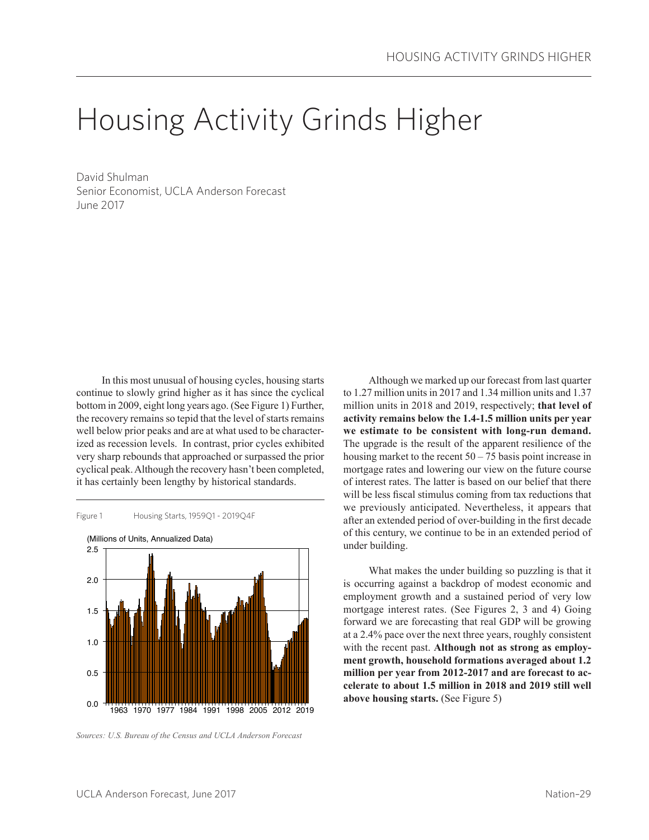# Housing Activity Grinds Higher

David Shulman Senior Economist, UCLA Anderson Forecast June 2017

In this most unusual of housing cycles, housing starts continue to slowly grind higher as it has since the cyclical bottom in 2009, eight long years ago. (See Figure 1) Further, the recovery remains so tepid that the level of starts remains well below prior peaks and are at what used to be characterized as recession levels. In contrast, prior cycles exhibited very sharp rebounds that approached or surpassed the prior cyclical peak. Although the recovery hasn't been completed, it has certainly been lengthy by historical standards.



*Sources: U.S. Bureau of the Census and UCLA Anderson Forecast*

Although we marked up our forecast from last quarter to 1.27 million units in 2017 and 1.34 million units and 1.37 million units in 2018 and 2019, respectively; **that level of activity remains below the 1.4-1.5 million units per year we estimate to be consistent with long-run demand.** The upgrade is the result of the apparent resilience of the housing market to the recent  $50 - 75$  basis point increase in mortgage rates and lowering our view on the future course of interest rates. The latter is based on our belief that there will be less fiscal stimulus coming from tax reductions that we previously anticipated. Nevertheless, it appears that after an extended period of over-building in the first decade of this century, we continue to be in an extended period of under building.

What makes the under building so puzzling is that it is occurring against a backdrop of modest economic and employment growth and a sustained period of very low mortgage interest rates. (See Figures 2, 3 and 4) Going forward we are forecasting that real GDP will be growing at a 2.4% pace over the next three years, roughly consistent with the recent past. **Although not as strong as employment growth, household formations averaged about 1.2 million per year from 2012-2017 and are forecast to accelerate to about 1.5 million in 2018 and 2019 still well above housing starts.** (See Figure 5)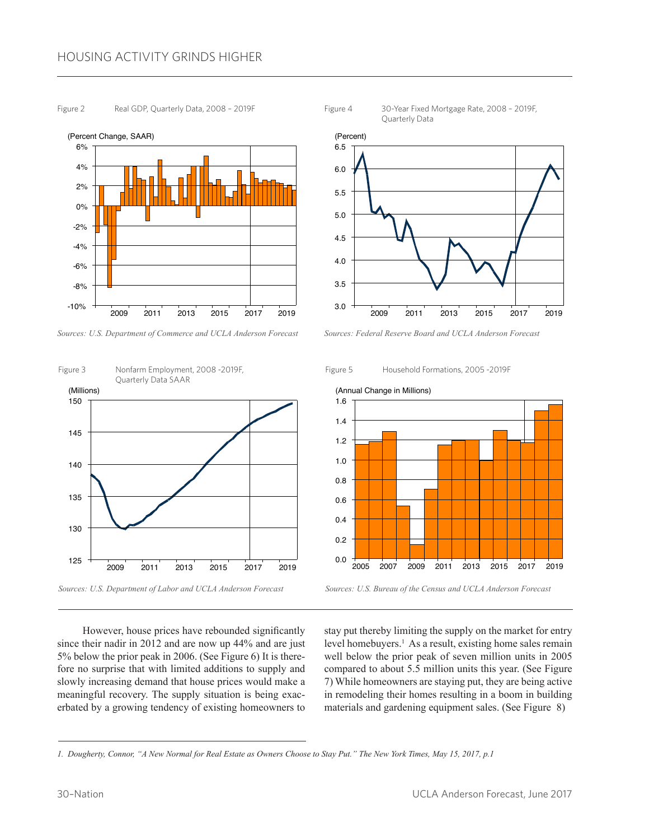# HOUSING ACTIVITY GRINDS HIGHER

#### Figure 2 Real GDP, Quarterly Data, 2008 – 2019F

2009 2011 2013 2015 2017 2019 6%  $4%$ 2% 0% -2% -4% -6% -8% -10% (Percent Change, SAAR)





*Sources: U.S. Department of Labor and UCLA Anderson Forecast*

Figure 4 30-Year Fixed Mortgage Rate, 2008 – 2019F, Quarterly Data



*Sources: Federal Reserve Board and UCLA Anderson Forecast*





*Sources: U.S. Bureau of the Census and UCLA Anderson Forecast*

However, house prices have rebounded significantly since their nadir in 2012 and are now up 44% and are just 5% below the prior peak in 2006. (See Figure 6) It is therefore no surprise that with limited additions to supply and slowly increasing demand that house prices would make a meaningful recovery. The supply situation is being exacerbated by a growing tendency of existing homeowners to

stay put thereby limiting the supply on the market for entry level homebuyers.<sup>1</sup> As a result, existing home sales remain well below the prior peak of seven million units in 2005 compared to about 5.5 million units this year. (See Figure 7) While homeowners are staying put, they are being active in remodeling their homes resulting in a boom in building materials and gardening equipment sales. (See Figure 8)

*<sup>1.</sup> Dougherty, Connor, "A New Normal for Real Estate as Owners Choose to Stay Put." The New York Times, May 15, 2017, p.1*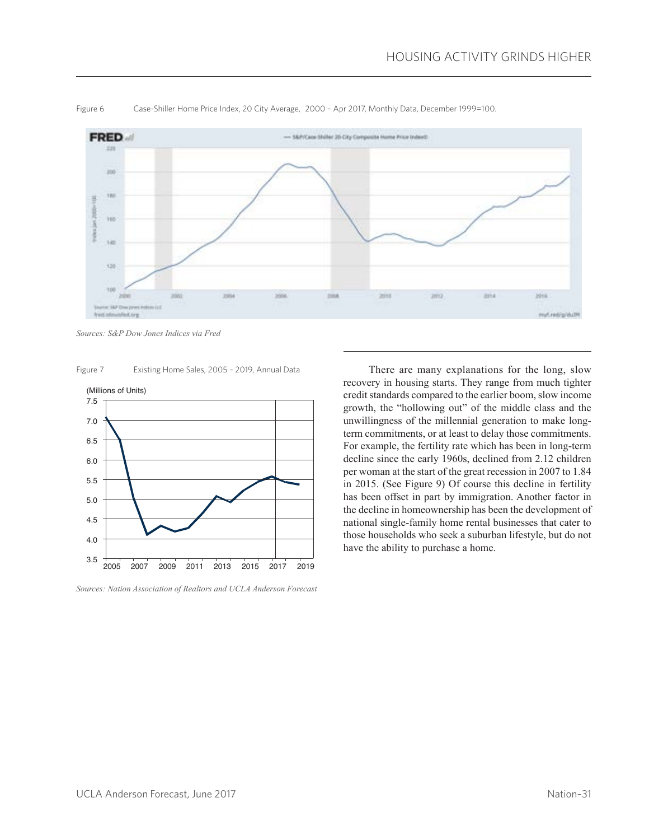

Figure 6 Case-Shiller Home Price Index, 20 City Average, 2000 – Apr 2017, Monthly Data, December 1999=100.

*Sources: S&P Dow Jones Indices via Fred*

Figure 7 Existing Home Sales, 2005 – 2019, Annual Data



*Sources: Nation Association of Realtors and UCLA Anderson Forecast*

There are many explanations for the long, slow recovery in housing starts. They range from much tighter credit standards compared to the earlier boom, slow income growth, the "hollowing out" of the middle class and the unwillingness of the millennial generation to make longterm commitments, or at least to delay those commitments. For example, the fertility rate which has been in long-term decline since the early 1960s, declined from 2.12 children per woman at the start of the great recession in 2007 to 1.84 in 2015. (See Figure 9) Of course this decline in fertility has been offset in part by immigration. Another factor in the decline in homeownership has been the development of national single-family home rental businesses that cater to those households who seek a suburban lifestyle, but do not have the ability to purchase a home.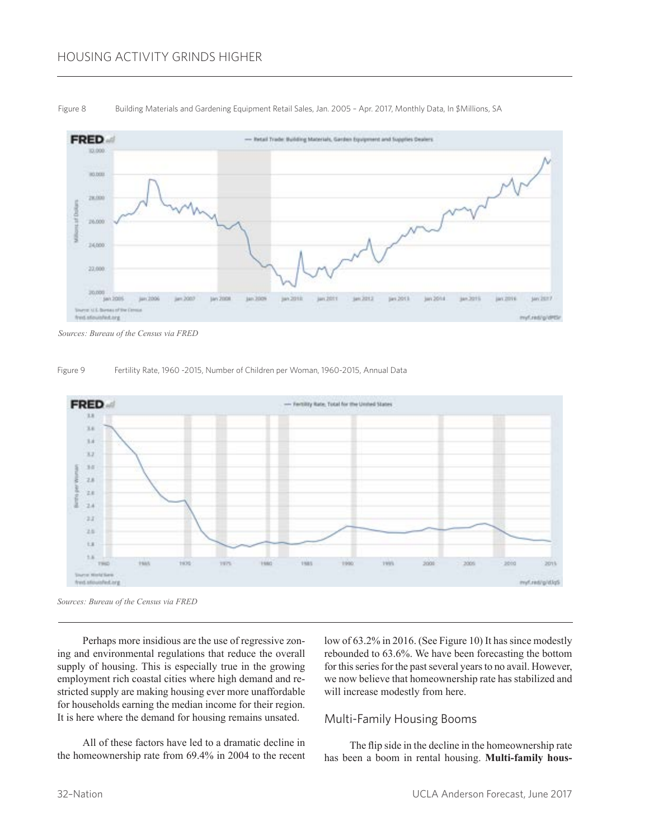# HOUSING ACTIVITY GRINDS HIGHER



Figure 8 Building Materials and Gardening Equipment Retail Sales, Jan. 2005 - Apr. 2017, Monthly Data, In \$Millions, SA

#### Figure 9 Fertility Rate, 1960 -2015, Number of Children per Woman, 1960-2015, Annual Data



*Sources: Bureau of the Census via FRED*

Perhaps more insidious are the use of regressive zoning and environmental regulations that reduce the overall supply of housing. This is especially true in the growing employment rich coastal cities where high demand and restricted supply are making housing ever more unaffordable for households earning the median income for their region. It is here where the demand for housing remains unsated.

All of these factors have led to a dramatic decline in the homeownership rate from 69.4% in 2004 to the recent low of 63.2% in 2016. (See Figure 10) It has since modestly rebounded to 63.6%. We have been forecasting the bottom for this series for the past several years to no avail. However, we now believe that homeownership rate has stabilized and will increase modestly from here.

### Multi-Family Housing Booms

The flip side in the decline in the homeownership rate has been a boom in rental housing. **Multi-family hous-**

*Sources: Bureau of the Census via FRED*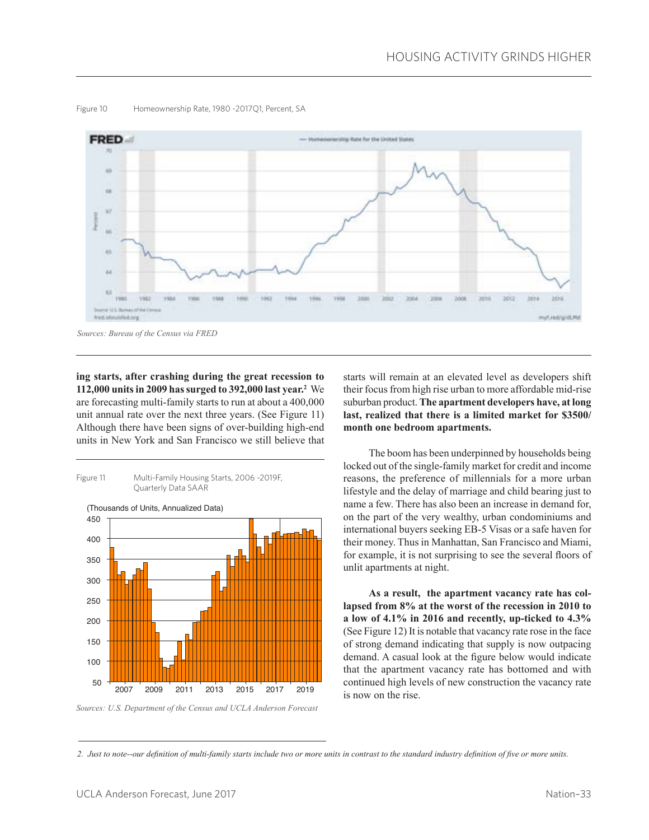

#### Figure 10 Homeownership Rate, 1980 -2017Q1, Percent, SA

*Sources: Bureau of the Census via FRED*

**ing starts, after crashing during the great recession to 112,000 units in 2009 has surged to 392,000 last year.<sup>2</sup>** We are forecasting multi-family starts to run at about a 400,000 unit annual rate over the next three years. (See Figure 11) Although there have been signs of over-building high-end units in New York and San Francisco we still believe that



*Sources: U.S. Department of the Census and UCLA Anderson Forecast*

starts will remain at an elevated level as developers shift their focus from high rise urban to more affordable mid-rise suburban product. **The apartment developers have, at long last, realized that there is a limited market for \$3500/ month one bedroom apartments.**

The boom has been underpinned by households being locked out of the single-family market for credit and income reasons, the preference of millennials for a more urban lifestyle and the delay of marriage and child bearing just to name a few. There has also been an increase in demand for, on the part of the very wealthy, urban condominiums and international buyers seeking EB-5 Visas or a safe haven for their money. Thus in Manhattan, San Francisco and Miami, for example, it is not surprising to see the several floors of unlit apartments at night.

**As a result, the apartment vacancy rate has collapsed from 8% at the worst of the recession in 2010 to a low of 4.1% in 2016 and recently, up-ticked to 4.3%** (See Figure 12) It is notable that vacancy rate rose in the face of strong demand indicating that supply is now outpacing demand. A casual look at the figure below would indicate that the apartment vacancy rate has bottomed and with continued high levels of new construction the vacancy rate is now on the rise.

*2. Just to note--our definition of multi-family starts include two or more units in contrast to the standard industry definition of five or more units.*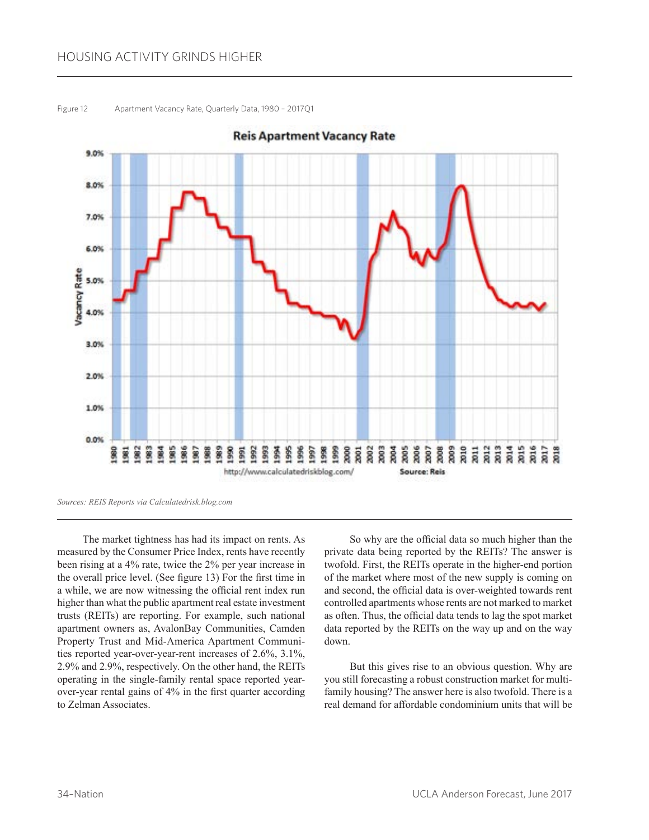## HOUSING ACTIVITY GRINDS HIGHER



Figure 12 Apartment Vacancy Rate, Quarterly Data, 1980 – 2017Q1

The market tightness has had its impact on rents. As measured by the Consumer Price Index, rents have recently been rising at a 4% rate, twice the 2% per year increase in the overall price level. (See figure 13) For the first time in a while, we are now witnessing the official rent index run higher than what the public apartment real estate investment trusts (REITs) are reporting. For example, such national apartment owners as, AvalonBay Communities, Camden Property Trust and Mid-America Apartment Communities reported year-over-year-rent increases of 2.6%, 3.1%, 2.9% and 2.9%, respectively. On the other hand, the REITs operating in the single-family rental space reported yearover-year rental gains of 4% in the first quarter according to Zelman Associates.

So why are the official data so much higher than the private data being reported by the REITs? The answer is twofold. First, the REITs operate in the higher-end portion of the market where most of the new supply is coming on and second, the official data is over-weighted towards rent controlled apartments whose rents are not marked to market as often. Thus, the official data tends to lag the spot market data reported by the REITs on the way up and on the way down.

But this gives rise to an obvious question. Why are you still forecasting a robust construction market for multifamily housing? The answer here is also twofold. There is a real demand for affordable condominium units that will be

*Sources: REIS Reports via Calculatedrisk.blog.com*